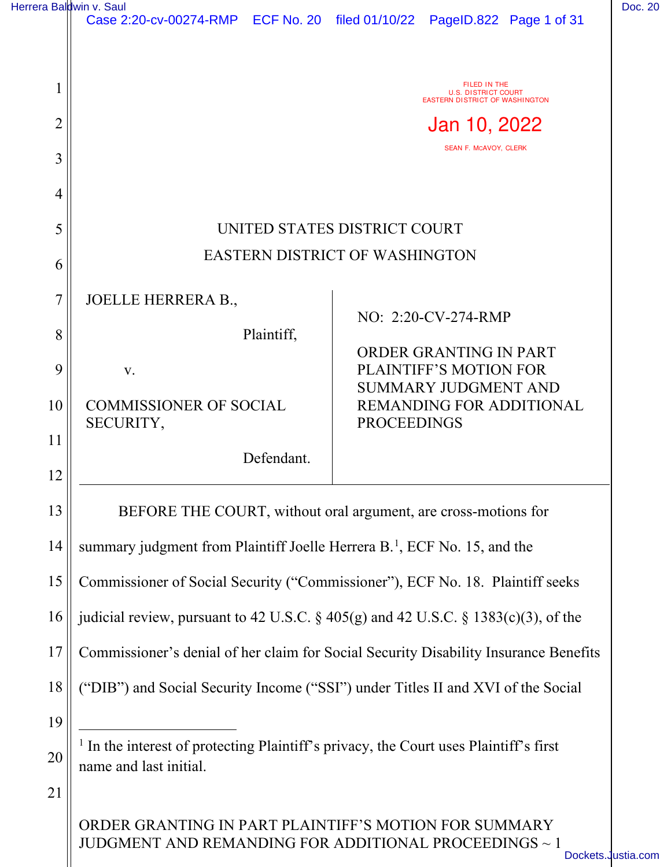| FILED IN THE<br><b>U.S. DISTRICT COURT</b><br>EASTERN DISTRICT OF WASHINGTON<br>$\overline{2}$<br>Jan 10, 2022<br>SEAN F. MCAVOY, CLERK<br>3<br>4<br>5<br>UNITED STATES DISTRICT COURT<br><b>EASTERN DISTRICT OF WASHINGTON</b><br>6<br>7<br><b>JOELLE HERRERA B.,</b><br>NO: 2:20-CV-274-RMP<br>8<br>Plaintiff,<br>ORDER GRANTING IN PART<br>9<br><b>PLAINTIFF'S MOTION FOR</b><br>$V_{\bullet}$<br><b>SUMMARY JUDGMENT AND</b><br>10<br><b>COMMISSIONER OF SOCIAL</b><br>REMANDING FOR ADDITIONAL<br>SECURITY,<br><b>PROCEEDINGS</b><br>11<br>Defendant.<br>12<br>13<br>BEFORE THE COURT, without oral argument, are cross-motions for<br>14<br>summary judgment from Plaintiff Joelle Herrera B. <sup>1</sup> , ECF No. 15, and the<br>15<br>Commissioner of Social Security ("Commissioner"), ECF No. 18. Plaintiff seeks<br>judicial review, pursuant to 42 U.S.C. $\S$ 405(g) and 42 U.S.C. $\S$ 1383(c)(3), of the<br>16<br>17<br>Commissioner's denial of her claim for Social Security Disability Insurance Benefits<br>18<br>("DIB") and Social Security Income ("SSI") under Titles II and XVI of the Social<br>19<br>$1$ In the interest of protecting Plaintiff's privacy, the Court uses Plaintiff's first<br>20<br>name and last initial.<br>21<br>ORDER GRANTING IN PART PLAINTIFF'S MOTION FOR SUMMARY | Herrera Baldwin v. Saul | Case 2:20-cv-00274-RMP ECF No. 20 filed 01/10/22 PageID.822 Page 1 of 31 |  |
|-------------------------------------------------------------------------------------------------------------------------------------------------------------------------------------------------------------------------------------------------------------------------------------------------------------------------------------------------------------------------------------------------------------------------------------------------------------------------------------------------------------------------------------------------------------------------------------------------------------------------------------------------------------------------------------------------------------------------------------------------------------------------------------------------------------------------------------------------------------------------------------------------------------------------------------------------------------------------------------------------------------------------------------------------------------------------------------------------------------------------------------------------------------------------------------------------------------------------------------------------------------------------------------------------------------------------|-------------------------|--------------------------------------------------------------------------|--|
|                                                                                                                                                                                                                                                                                                                                                                                                                                                                                                                                                                                                                                                                                                                                                                                                                                                                                                                                                                                                                                                                                                                                                                                                                                                                                                                         |                         |                                                                          |  |
|                                                                                                                                                                                                                                                                                                                                                                                                                                                                                                                                                                                                                                                                                                                                                                                                                                                                                                                                                                                                                                                                                                                                                                                                                                                                                                                         |                         |                                                                          |  |
|                                                                                                                                                                                                                                                                                                                                                                                                                                                                                                                                                                                                                                                                                                                                                                                                                                                                                                                                                                                                                                                                                                                                                                                                                                                                                                                         |                         |                                                                          |  |
|                                                                                                                                                                                                                                                                                                                                                                                                                                                                                                                                                                                                                                                                                                                                                                                                                                                                                                                                                                                                                                                                                                                                                                                                                                                                                                                         |                         |                                                                          |  |
|                                                                                                                                                                                                                                                                                                                                                                                                                                                                                                                                                                                                                                                                                                                                                                                                                                                                                                                                                                                                                                                                                                                                                                                                                                                                                                                         |                         |                                                                          |  |
|                                                                                                                                                                                                                                                                                                                                                                                                                                                                                                                                                                                                                                                                                                                                                                                                                                                                                                                                                                                                                                                                                                                                                                                                                                                                                                                         |                         |                                                                          |  |
|                                                                                                                                                                                                                                                                                                                                                                                                                                                                                                                                                                                                                                                                                                                                                                                                                                                                                                                                                                                                                                                                                                                                                                                                                                                                                                                         |                         |                                                                          |  |
|                                                                                                                                                                                                                                                                                                                                                                                                                                                                                                                                                                                                                                                                                                                                                                                                                                                                                                                                                                                                                                                                                                                                                                                                                                                                                                                         |                         |                                                                          |  |
|                                                                                                                                                                                                                                                                                                                                                                                                                                                                                                                                                                                                                                                                                                                                                                                                                                                                                                                                                                                                                                                                                                                                                                                                                                                                                                                         |                         |                                                                          |  |
|                                                                                                                                                                                                                                                                                                                                                                                                                                                                                                                                                                                                                                                                                                                                                                                                                                                                                                                                                                                                                                                                                                                                                                                                                                                                                                                         |                         |                                                                          |  |
|                                                                                                                                                                                                                                                                                                                                                                                                                                                                                                                                                                                                                                                                                                                                                                                                                                                                                                                                                                                                                                                                                                                                                                                                                                                                                                                         |                         |                                                                          |  |
|                                                                                                                                                                                                                                                                                                                                                                                                                                                                                                                                                                                                                                                                                                                                                                                                                                                                                                                                                                                                                                                                                                                                                                                                                                                                                                                         |                         |                                                                          |  |
|                                                                                                                                                                                                                                                                                                                                                                                                                                                                                                                                                                                                                                                                                                                                                                                                                                                                                                                                                                                                                                                                                                                                                                                                                                                                                                                         |                         |                                                                          |  |
|                                                                                                                                                                                                                                                                                                                                                                                                                                                                                                                                                                                                                                                                                                                                                                                                                                                                                                                                                                                                                                                                                                                                                                                                                                                                                                                         |                         |                                                                          |  |
|                                                                                                                                                                                                                                                                                                                                                                                                                                                                                                                                                                                                                                                                                                                                                                                                                                                                                                                                                                                                                                                                                                                                                                                                                                                                                                                         |                         |                                                                          |  |
|                                                                                                                                                                                                                                                                                                                                                                                                                                                                                                                                                                                                                                                                                                                                                                                                                                                                                                                                                                                                                                                                                                                                                                                                                                                                                                                         |                         |                                                                          |  |
|                                                                                                                                                                                                                                                                                                                                                                                                                                                                                                                                                                                                                                                                                                                                                                                                                                                                                                                                                                                                                                                                                                                                                                                                                                                                                                                         |                         |                                                                          |  |
|                                                                                                                                                                                                                                                                                                                                                                                                                                                                                                                                                                                                                                                                                                                                                                                                                                                                                                                                                                                                                                                                                                                                                                                                                                                                                                                         |                         |                                                                          |  |

JUDGMENT AND REMANDING FOR ADDITIONAL PROCEEDINGS ~ 1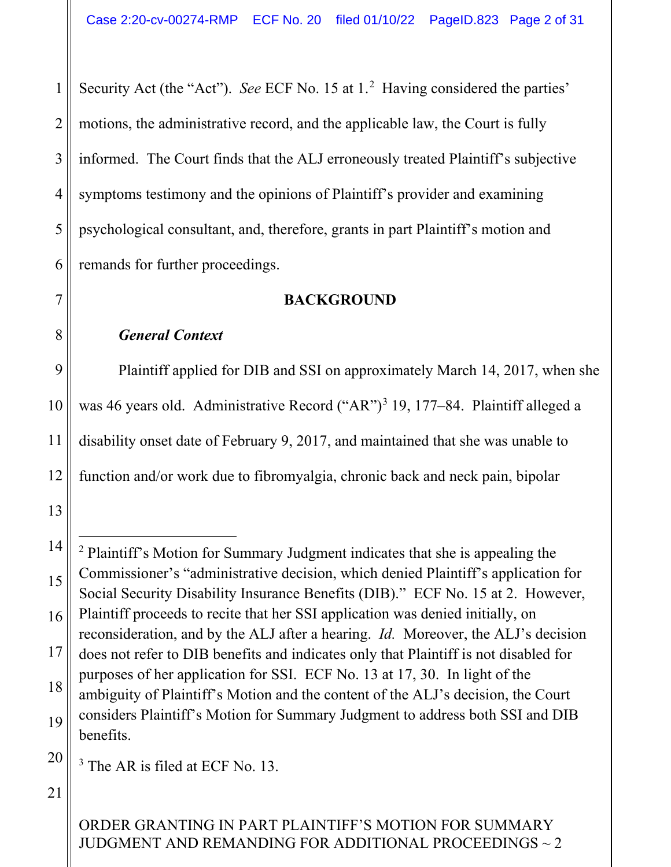1 2 3 4 5 6 Security Act (the "Act"). See ECF No. 15 at 1.<sup>2</sup> Having considered the parties' motions, the administrative record, and the applicable law, the Court is fully informed. The Court finds that the ALJ erroneously treated Plaintiff's subjective symptoms testimony and the opinions of Plaintiff's provider and examining psychological consultant, and, therefore, grants in part Plaintiff's motion and remands for further proceedings.

## **BACKGROUND**

# *General Context*

Plaintiff applied for DIB and SSI on approximately March 14, 2017, when she was 46 years old. Administrative Record ("AR")<sup>3</sup> 19, 177–84. Plaintiff alleged a disability onset date of February 9, 2017, and maintained that she was unable to function and/or work due to fibromyalgia, chronic back and neck pain, bipolar

14 15 16 17 18 19 <sup>2</sup> Plaintiff's Motion for Summary Judgment indicates that she is appealing the Commissioner's "administrative decision, which denied Plaintiff's application for Social Security Disability Insurance Benefits (DIB)." ECF No. 15 at 2. However, Plaintiff proceeds to recite that her SSI application was denied initially, on reconsideration, and by the ALJ after a hearing. *Id.* Moreover, the ALJ's decision does not refer to DIB benefits and indicates only that Plaintiff is not disabled for purposes of her application for SSI. ECF No. 13 at 17, 30. In light of the ambiguity of Plaintiff's Motion and the content of the ALJ's decision, the Court considers Plaintiff's Motion for Summary Judgment to address both SSI and DIB benefits.

<sup>3</sup> The AR is filed at ECF No. 13.

#### 21

20

7

8

9

10

11

12

13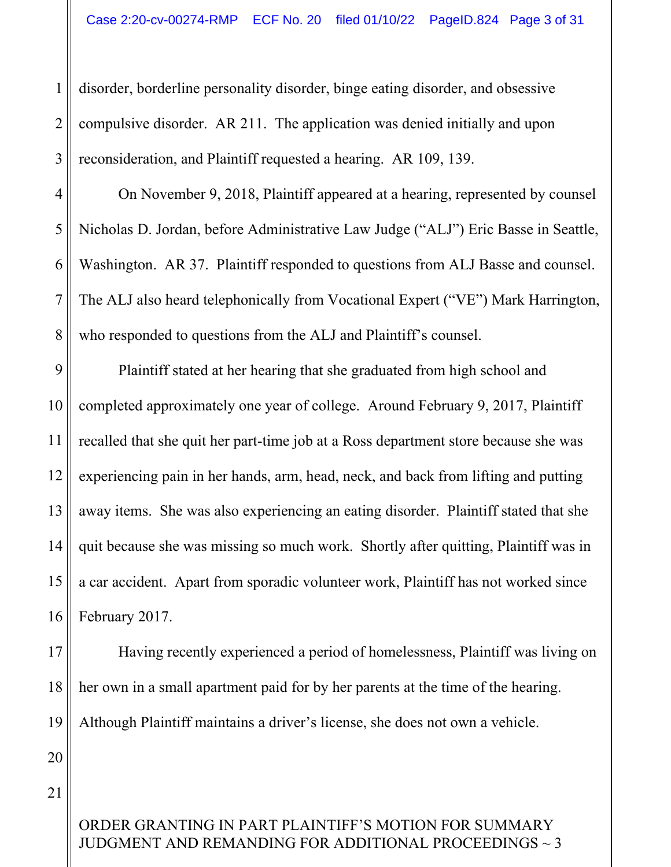1 2 3 disorder, borderline personality disorder, binge eating disorder, and obsessive compulsive disorder. AR 211. The application was denied initially and upon reconsideration, and Plaintiff requested a hearing. AR 109, 139.

4 5 6 7 8 On November 9, 2018, Plaintiff appeared at a hearing, represented by counsel Nicholas D. Jordan, before Administrative Law Judge ("ALJ") Eric Basse in Seattle, Washington. AR 37. Plaintiff responded to questions from ALJ Basse and counsel. The ALJ also heard telephonically from Vocational Expert ("VE") Mark Harrington, who responded to questions from the ALJ and Plaintiff's counsel.

Plaintiff stated at her hearing that she graduated from high school and completed approximately one year of college. Around February 9, 2017, Plaintiff recalled that she quit her part-time job at a Ross department store because she was experiencing pain in her hands, arm, head, neck, and back from lifting and putting away items. She was also experiencing an eating disorder. Plaintiff stated that she quit because she was missing so much work. Shortly after quitting, Plaintiff was in a car accident. Apart from sporadic volunteer work, Plaintiff has not worked since February 2017.

17 18 19 Having recently experienced a period of homelessness, Plaintiff was living on her own in a small apartment paid for by her parents at the time of the hearing. Although Plaintiff maintains a driver's license, she does not own a vehicle.

21

20

9

10

11

12

13

14

15

16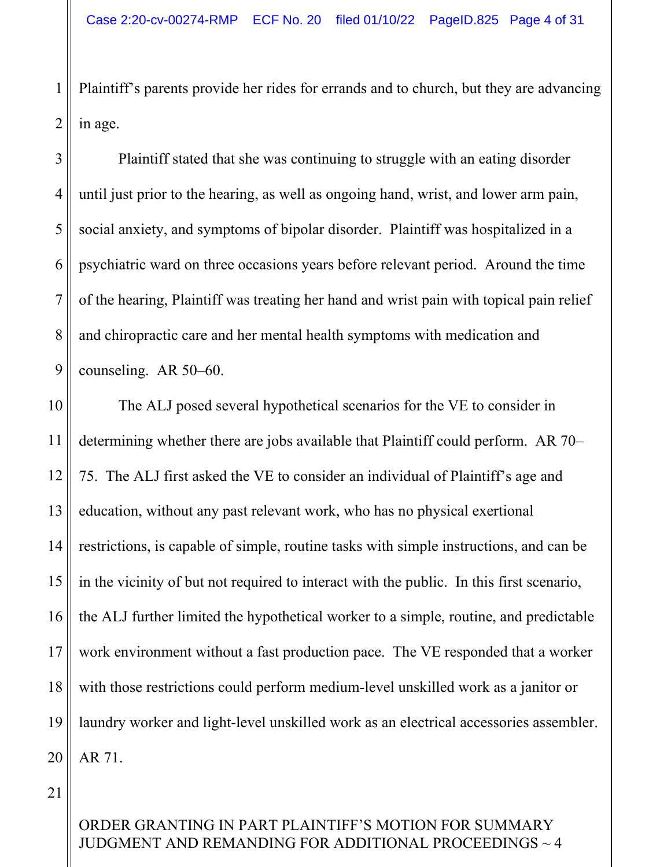1 2 Plaintiff's parents provide her rides for errands and to church, but they are advancing in age.

3 4 5 6 7 8 9 Plaintiff stated that she was continuing to struggle with an eating disorder until just prior to the hearing, as well as ongoing hand, wrist, and lower arm pain, social anxiety, and symptoms of bipolar disorder. Plaintiff was hospitalized in a psychiatric ward on three occasions years before relevant period. Around the time of the hearing, Plaintiff was treating her hand and wrist pain with topical pain relief and chiropractic care and her mental health symptoms with medication and counseling. AR 50–60.

10 11 12 13 14 15 16 17 18 19 20 The ALJ posed several hypothetical scenarios for the VE to consider in determining whether there are jobs available that Plaintiff could perform. AR 70– 75. The ALJ first asked the VE to consider an individual of Plaintiff's age and education, without any past relevant work, who has no physical exertional restrictions, is capable of simple, routine tasks with simple instructions, and can be in the vicinity of but not required to interact with the public. In this first scenario, the ALJ further limited the hypothetical worker to a simple, routine, and predictable work environment without a fast production pace. The VE responded that a worker with those restrictions could perform medium-level unskilled work as a janitor or laundry worker and light-level unskilled work as an electrical accessories assembler. AR 71.

21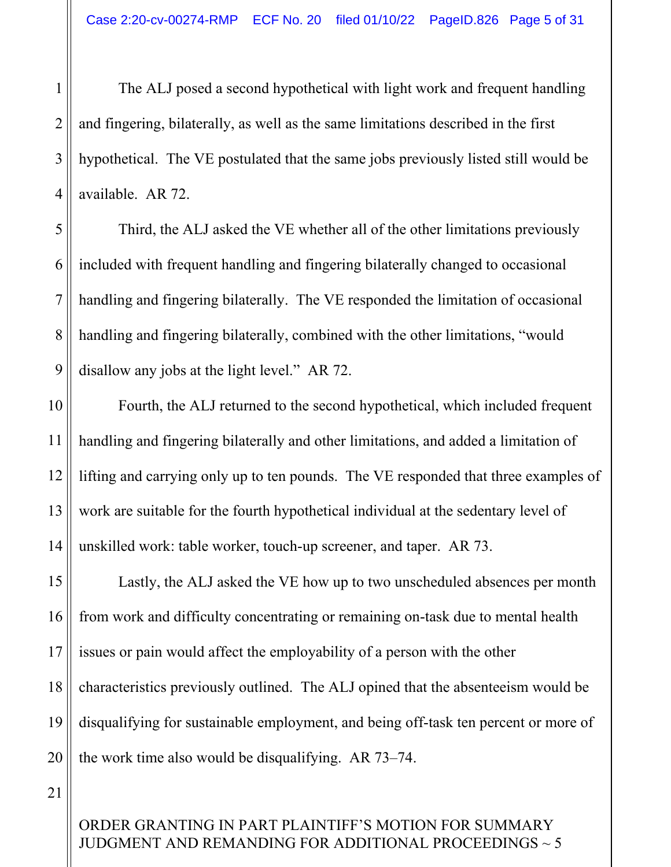The ALJ posed a second hypothetical with light work and frequent handling and fingering, bilaterally, as well as the same limitations described in the first hypothetical. The VE postulated that the same jobs previously listed still would be available. AR 72.

5 6 Third, the ALJ asked the VE whether all of the other limitations previously included with frequent handling and fingering bilaterally changed to occasional handling and fingering bilaterally. The VE responded the limitation of occasional handling and fingering bilaterally, combined with the other limitations, "would disallow any jobs at the light level." AR 72.

Fourth, the ALJ returned to the second hypothetical, which included frequent handling and fingering bilaterally and other limitations, and added a limitation of lifting and carrying only up to ten pounds. The VE responded that three examples of work are suitable for the fourth hypothetical individual at the sedentary level of unskilled work: table worker, touch-up screener, and taper. AR 73.

15 16 17 18 19 20 Lastly, the ALJ asked the VE how up to two unscheduled absences per month from work and difficulty concentrating or remaining on-task due to mental health issues or pain would affect the employability of a person with the other characteristics previously outlined. The ALJ opined that the absenteeism would be disqualifying for sustainable employment, and being off-task ten percent or more of the work time also would be disqualifying. AR 73–74.

21

1

2

3

4

7

8

9

10

11

12

13

14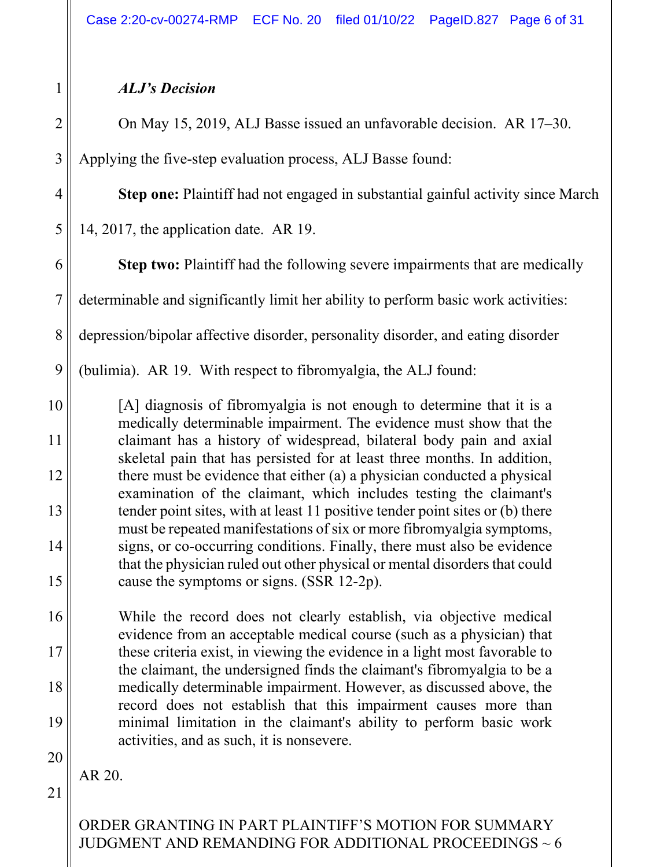# *ALJ's Decision*

1

2

3

4

5

11

12

14

15

16

17

18

19

20

On May 15, 2019, ALJ Basse issued an unfavorable decision. AR 17–30. Applying the five-step evaluation process, ALJ Basse found:

**Step one:** Plaintiff had not engaged in substantial gainful activity since March

14, 2017, the application date. AR 19.

6 7 8 9 **Step two:** Plaintiff had the following severe impairments that are medically determinable and significantly limit her ability to perform basic work activities: depression/bipolar affective disorder, personality disorder, and eating disorder (bulimia). AR 19. With respect to fibromyalgia, the ALJ found:

10 13 [A] diagnosis of fibromyalgia is not enough to determine that it is a medically determinable impairment. The evidence must show that the claimant has a history of widespread, bilateral body pain and axial skeletal pain that has persisted for at least three months. In addition, there must be evidence that either (a) a physician conducted a physical examination of the claimant, which includes testing the claimant's tender point sites, with at least 11 positive tender point sites or (b) there must be repeated manifestations of six or more fibromyalgia symptoms, signs, or co-occurring conditions. Finally, there must also be evidence that the physician ruled out other physical or mental disorders that could cause the symptoms or signs. (SSR 12-2p).

While the record does not clearly establish, via objective medical evidence from an acceptable medical course (such as a physician) that these criteria exist, in viewing the evidence in a light most favorable to the claimant, the undersigned finds the claimant's fibromyalgia to be a medically determinable impairment. However, as discussed above, the record does not establish that this impairment causes more than minimal limitation in the claimant's ability to perform basic work activities, and as such, it is nonsevere.

AR 20.

ORDER GRANTING IN PART PLAINTIFF'S MOTION FOR SUMMARY JUDGMENT AND REMANDING FOR ADDITIONAL PROCEEDINGS  $\sim$  6

21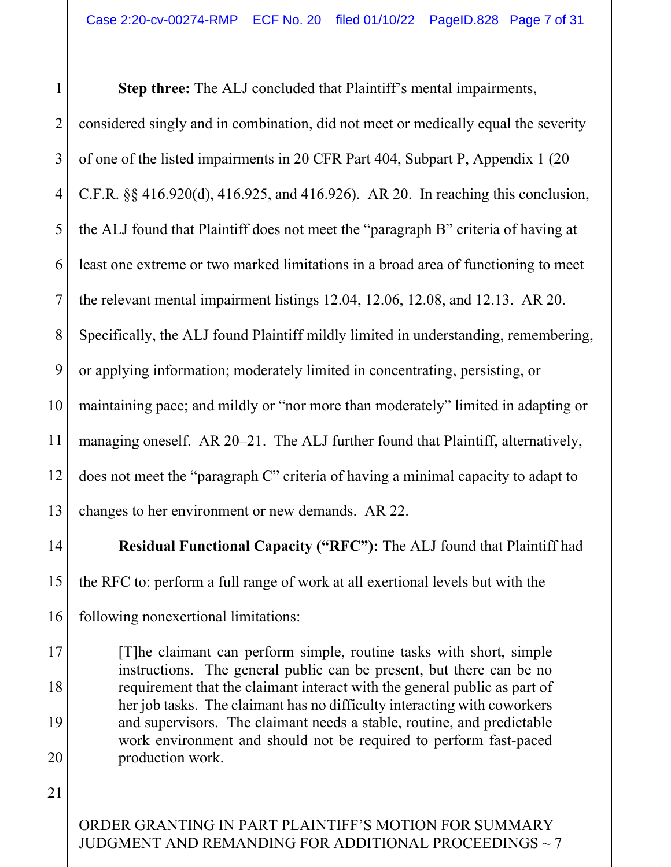1 2 3 4 5 6 7 8 9 10 11 12 13 **Step three:** The ALJ concluded that Plaintiff's mental impairments, considered singly and in combination, did not meet or medically equal the severity of one of the listed impairments in 20 CFR Part 404, Subpart P, Appendix 1 (20 C.F.R. §§ 416.920(d), 416.925, and 416.926). AR 20. In reaching this conclusion, the ALJ found that Plaintiff does not meet the "paragraph B" criteria of having at least one extreme or two marked limitations in a broad area of functioning to meet the relevant mental impairment listings 12.04, 12.06, 12.08, and 12.13. AR 20. Specifically, the ALJ found Plaintiff mildly limited in understanding, remembering, or applying information; moderately limited in concentrating, persisting, or maintaining pace; and mildly or "nor more than moderately" limited in adapting or managing oneself. AR 20–21. The ALJ further found that Plaintiff, alternatively, does not meet the "paragraph C" criteria of having a minimal capacity to adapt to changes to her environment or new demands. AR 22.

**Residual Functional Capacity ("RFC"):** The ALJ found that Plaintiff had the RFC to: perform a full range of work at all exertional levels but with the following nonexertional limitations:

[T]he claimant can perform simple, routine tasks with short, simple instructions. The general public can be present, but there can be no requirement that the claimant interact with the general public as part of her job tasks. The claimant has no difficulty interacting with coworkers and supervisors. The claimant needs a stable, routine, and predictable work environment and should not be required to perform fast-paced production work.

21

14

15

16

17

18

19

20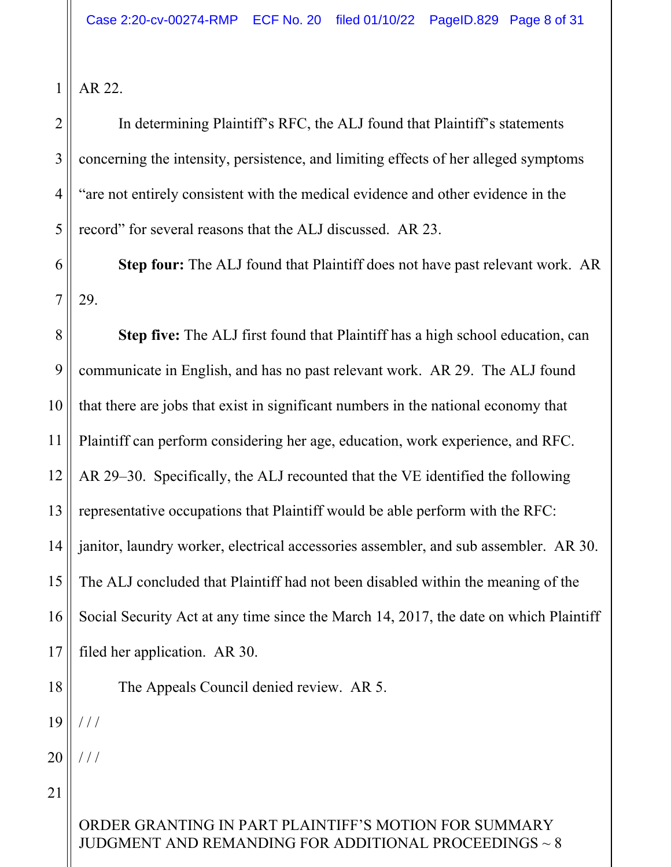```
1 
AR 22.
```
2

3

4

5

In determining Plaintiff's RFC, the ALJ found that Plaintiff's statements concerning the intensity, persistence, and limiting effects of her alleged symptoms "are not entirely consistent with the medical evidence and other evidence in the record" for several reasons that the ALJ discussed. AR 23.

6 7 **Step four:** The ALJ found that Plaintiff does not have past relevant work. AR 29.

8 9 10 11 12 13 14 15 16 17 **Step five:** The ALJ first found that Plaintiff has a high school education, can communicate in English, and has no past relevant work. AR 29. The ALJ found that there are jobs that exist in significant numbers in the national economy that Plaintiff can perform considering her age, education, work experience, and RFC. AR 29–30. Specifically, the ALJ recounted that the VE identified the following representative occupations that Plaintiff would be able perform with the RFC: janitor, laundry worker, electrical accessories assembler, and sub assembler. AR 30. The ALJ concluded that Plaintiff had not been disabled within the meaning of the Social Security Act at any time since the March 14, 2017, the date on which Plaintiff filed her application. AR 30.

The Appeals Council denied review. AR 5.

19 / / /

18

20 / / /

21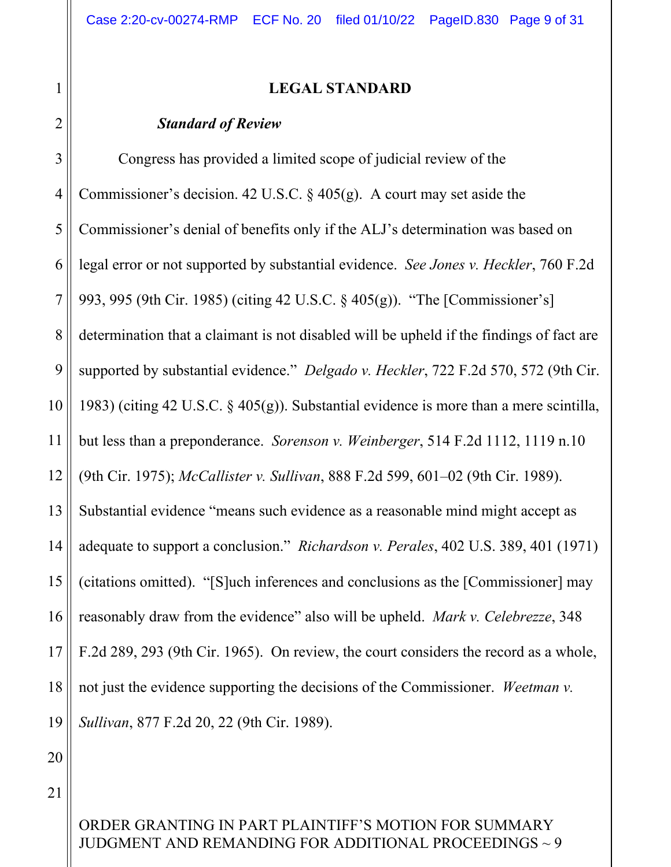#### **LEGAL STANDARD**

#### *Standard of Review*

3 4 5 6 7 8 9 10 11 12 13 14 15 16 17 18 19 Congress has provided a limited scope of judicial review of the Commissioner's decision. 42 U.S.C. § 405(g). A court may set aside the Commissioner's denial of benefits only if the ALJ's determination was based on legal error or not supported by substantial evidence. *See Jones v. Heckler*, 760 F.2d 993, 995 (9th Cir. 1985) (citing 42 U.S.C. § 405(g)). "The [Commissioner's] determination that a claimant is not disabled will be upheld if the findings of fact are supported by substantial evidence." *Delgado v. Heckler*, 722 F.2d 570, 572 (9th Cir. 1983) (citing 42 U.S.C. § 405(g)). Substantial evidence is more than a mere scintilla, but less than a preponderance. *Sorenson v. Weinberger*, 514 F.2d 1112, 1119 n.10 (9th Cir. 1975); *McCallister v. Sullivan*, 888 F.2d 599, 601–02 (9th Cir. 1989). Substantial evidence "means such evidence as a reasonable mind might accept as adequate to support a conclusion." *Richardson v. Perales*, 402 U.S. 389, 401 (1971) (citations omitted). "[S]uch inferences and conclusions as the [Commissioner] may reasonably draw from the evidence" also will be upheld. *Mark v. Celebrezze*, 348 F.2d 289, 293 (9th Cir. 1965). On review, the court considers the record as a whole, not just the evidence supporting the decisions of the Commissioner. *Weetman v. Sullivan*, 877 F.2d 20, 22 (9th Cir. 1989).

20

21

1

2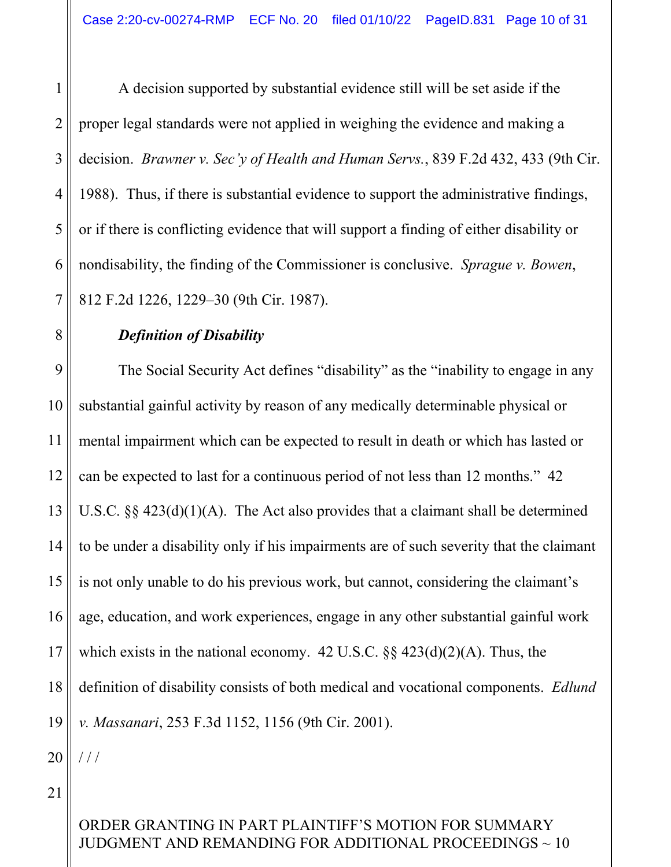3 4 5 6 7 A decision supported by substantial evidence still will be set aside if the proper legal standards were not applied in weighing the evidence and making a decision. *Brawner v. Sec'y of Health and Human Servs.*, 839 F.2d 432, 433 (9th Cir. 1988). Thus, if there is substantial evidence to support the administrative findings, or if there is conflicting evidence that will support a finding of either disability or nondisability, the finding of the Commissioner is conclusive. *Sprague v. Bowen*, 812 F.2d 1226, 1229–30 (9th Cir. 1987).

## *Definition of Disability*

9 10 11 12 13 14 15 16 17 18 19 The Social Security Act defines "disability" as the "inability to engage in any substantial gainful activity by reason of any medically determinable physical or mental impairment which can be expected to result in death or which has lasted or can be expected to last for a continuous period of not less than 12 months." 42 U.S.C.  $\S$ § 423(d)(1)(A). The Act also provides that a claimant shall be determined to be under a disability only if his impairments are of such severity that the claimant is not only unable to do his previous work, but cannot, considering the claimant's age, education, and work experiences, engage in any other substantial gainful work which exists in the national economy. 42 U.S.C.  $\S\S 423(d)(2)(A)$ . Thus, the definition of disability consists of both medical and vocational components. *Edlund v. Massanari*, 253 F.3d 1152, 1156 (9th Cir. 2001).

20

 $//$ 

1

2

8

21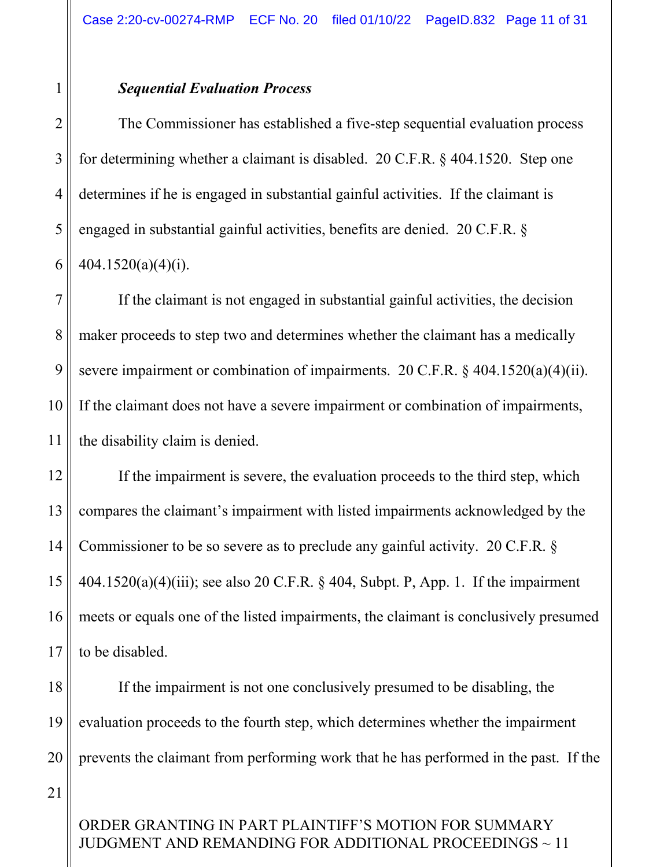#### *Sequential Evaluation Process*

The Commissioner has established a five-step sequential evaluation process for determining whether a claimant is disabled. 20 C.F.R. § 404.1520. Step one determines if he is engaged in substantial gainful activities. If the claimant is engaged in substantial gainful activities, benefits are denied. 20 C.F.R. § 404.1520(a)(4)(i).

7 8 9 10 If the claimant is not engaged in substantial gainful activities, the decision maker proceeds to step two and determines whether the claimant has a medically severe impairment or combination of impairments. 20 C.F.R. § 404.1520(a)(4)(ii). If the claimant does not have a severe impairment or combination of impairments, the disability claim is denied.

12 13 14 15 16 17 If the impairment is severe, the evaluation proceeds to the third step, which compares the claimant's impairment with listed impairments acknowledged by the Commissioner to be so severe as to preclude any gainful activity. 20 C.F.R. § 404.1520(a)(4)(iii); see also 20 C.F.R. § 404, Subpt. P, App. 1. If the impairment meets or equals one of the listed impairments, the claimant is conclusively presumed to be disabled.

18 19 20 If the impairment is not one conclusively presumed to be disabling, the evaluation proceeds to the fourth step, which determines whether the impairment prevents the claimant from performing work that he has performed in the past. If the

21

1

2

3

4

5

6

11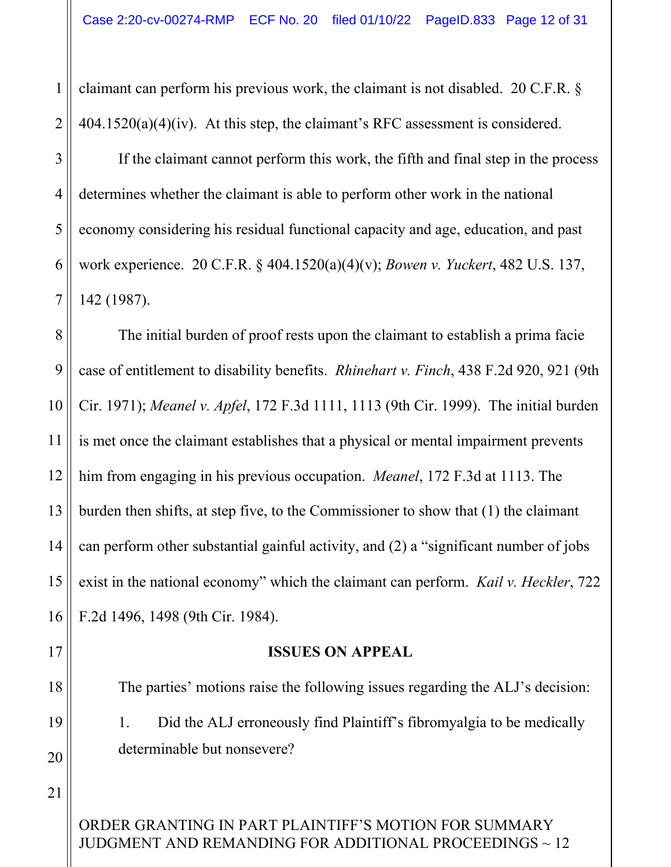2 claimant can perform his previous work, the claimant is not disabled. 20 C.F.R. §  $404.1520(a)(4)(iv)$ . At this step, the claimant's RFC assessment is considered.

3 4 5 6 7 If the claimant cannot perform this work, the fifth and final step in the process determines whether the claimant is able to perform other work in the national economy considering his residual functional capacity and age, education, and past work experience. 20 C.F.R. § 404.1520(a)(4)(v); *Bowen v. Yuckert*, 482 U.S. 137, 142 (1987).

8 9 10 11 12 13 14 15 16 The initial burden of proof rests upon the claimant to establish a prima facie case of entitlement to disability benefits. *Rhinehart v. Finch*, 438 F.2d 920, 921 (9th Cir. 1971); *Meanel v. Apfel*, 172 F.3d 1111, 1113 (9th Cir. 1999). The initial burden is met once the claimant establishes that a physical or mental impairment prevents him from engaging in his previous occupation. *Meanel*, 172 F.3d at 1113. The burden then shifts, at step five, to the Commissioner to show that (1) the claimant can perform other substantial gainful activity, and (2) a "significant number of jobs exist in the national economy" which the claimant can perform. *Kail v. Heckler*, 722 F.2d 1496, 1498 (9th Cir. 1984).

# 17

1

18

19 20

1. Did the ALJ erroneously find Plaintiff's fibromyalgia to be medically determinable but nonsevere?

The parties' motions raise the following issues regarding the ALJ's decision:

**ISSUES ON APPEAL**

21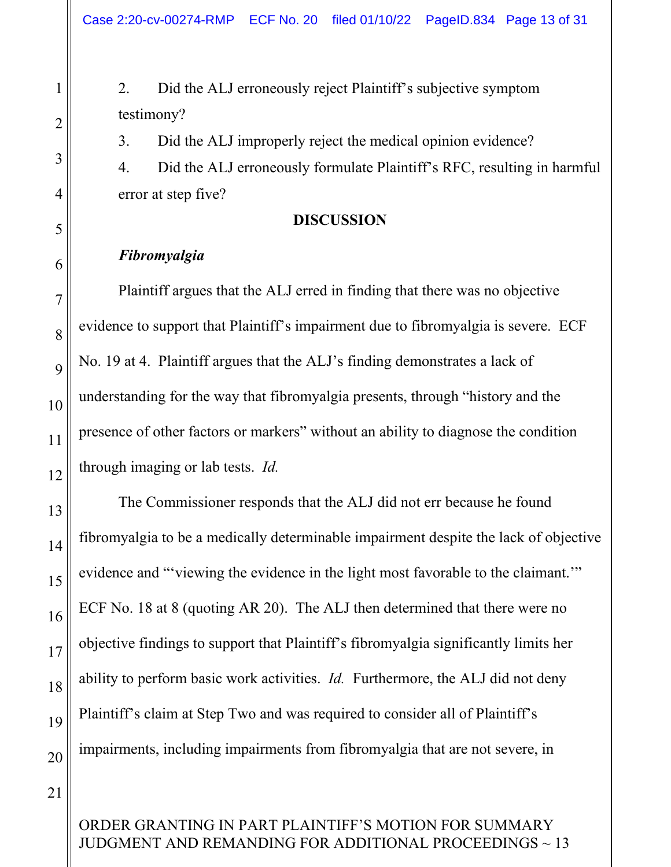2. Did the ALJ erroneously reject Plaintiff's subjective symptom testimony?

3. Did the ALJ improperly reject the medical opinion evidence?

4. Did the ALJ erroneously formulate Plaintiff's RFC, resulting in harmful error at step five?

#### **DISCUSSION**

#### *Fibromyalgia*

Plaintiff argues that the ALJ erred in finding that there was no objective evidence to support that Plaintiff's impairment due to fibromyalgia is severe. ECF No. 19 at 4. Plaintiff argues that the ALJ's finding demonstrates a lack of understanding for the way that fibromyalgia presents, through "history and the presence of other factors or markers" without an ability to diagnose the condition through imaging or lab tests. *Id.*

The Commissioner responds that the ALJ did not err because he found fibromyalgia to be a medically determinable impairment despite the lack of objective evidence and "'viewing the evidence in the light most favorable to the claimant.'" ECF No. 18 at 8 (quoting AR 20). The ALJ then determined that there were no objective findings to support that Plaintiff's fibromyalgia significantly limits her ability to perform basic work activities. *Id.* Furthermore, the ALJ did not deny Plaintiff's claim at Step Two and was required to consider all of Plaintiff's impairments, including impairments from fibromyalgia that are not severe, in

ORDER GRANTING IN PART PLAINTIFF'S MOTION FOR SUMMARY JUDGMENT AND REMANDING FOR ADDITIONAL PROCEEDINGS ~ 13

1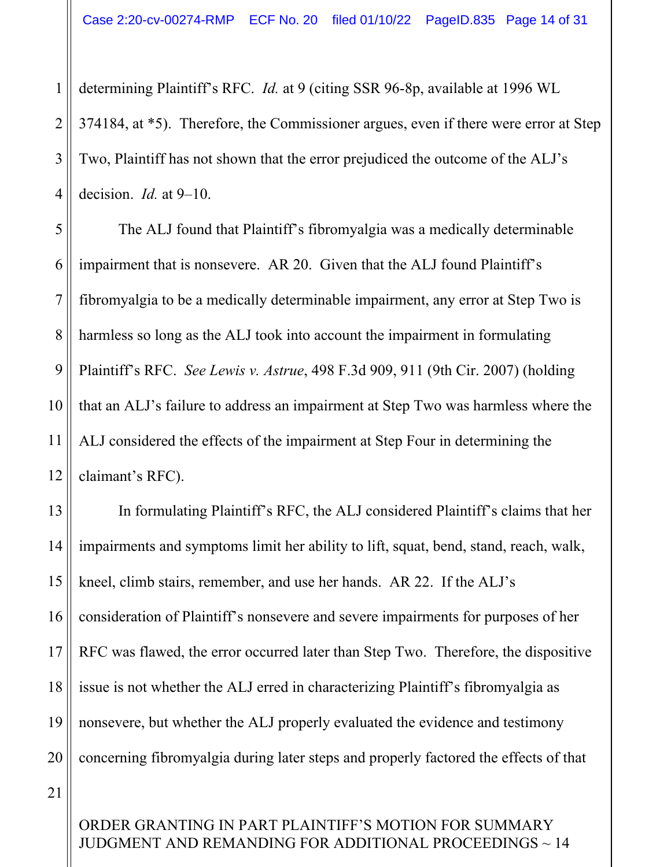1 2 3 4 determining Plaintiff's RFC. *Id.* at 9 (citing SSR 96-8p, available at 1996 WL 374184, at \*5). Therefore, the Commissioner argues, even if there were error at Step Two, Plaintiff has not shown that the error prejudiced the outcome of the ALJ's decision. *Id.* at 9–10.

5 6 7 8 9 10 11 12 The ALJ found that Plaintiff's fibromyalgia was a medically determinable impairment that is nonsevere. AR 20. Given that the ALJ found Plaintiff's fibromyalgia to be a medically determinable impairment, any error at Step Two is harmless so long as the ALJ took into account the impairment in formulating Plaintiff's RFC. *See Lewis v. Astrue*, 498 F.3d 909, 911 (9th Cir. 2007) (holding that an ALJ's failure to address an impairment at Step Two was harmless where the ALJ considered the effects of the impairment at Step Four in determining the claimant's RFC).

13 14 15 16 17 18 19 20 In formulating Plaintiff's RFC, the ALJ considered Plaintiff's claims that her impairments and symptoms limit her ability to lift, squat, bend, stand, reach, walk, kneel, climb stairs, remember, and use her hands. AR 22. If the ALJ's consideration of Plaintiff's nonsevere and severe impairments for purposes of her RFC was flawed, the error occurred later than Step Two. Therefore, the dispositive issue is not whether the ALJ erred in characterizing Plaintiff's fibromyalgia as nonsevere, but whether the ALJ properly evaluated the evidence and testimony concerning fibromyalgia during later steps and properly factored the effects of that

21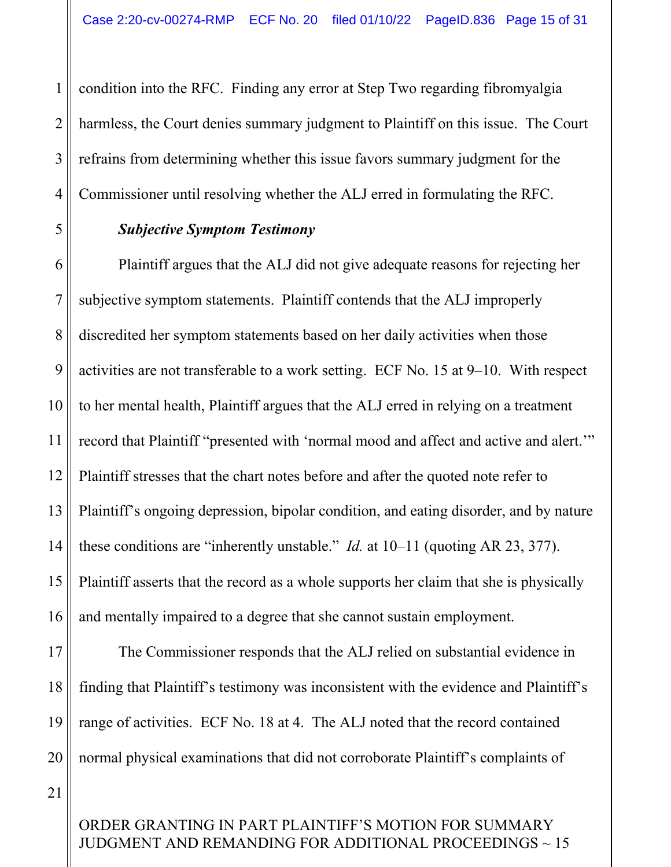1 2 3 4 condition into the RFC. Finding any error at Step Two regarding fibromyalgia harmless, the Court denies summary judgment to Plaintiff on this issue. The Court refrains from determining whether this issue favors summary judgment for the Commissioner until resolving whether the ALJ erred in formulating the RFC.

#### *Subjective Symptom Testimony*

6 7 8 9 10 11 12 13 14 15 16 Plaintiff argues that the ALJ did not give adequate reasons for rejecting her subjective symptom statements. Plaintiff contends that the ALJ improperly discredited her symptom statements based on her daily activities when those activities are not transferable to a work setting. ECF No. 15 at 9–10. With respect to her mental health, Plaintiff argues that the ALJ erred in relying on a treatment record that Plaintiff "presented with 'normal mood and affect and active and alert.'" Plaintiff stresses that the chart notes before and after the quoted note refer to Plaintiff's ongoing depression, bipolar condition, and eating disorder, and by nature these conditions are "inherently unstable." *Id.* at 10–11 (quoting AR 23, 377). Plaintiff asserts that the record as a whole supports her claim that she is physically and mentally impaired to a degree that she cannot sustain employment.

17 18 19 20 The Commissioner responds that the ALJ relied on substantial evidence in finding that Plaintiff's testimony was inconsistent with the evidence and Plaintiff's range of activities. ECF No. 18 at 4. The ALJ noted that the record contained normal physical examinations that did not corroborate Plaintiff's complaints of

21

5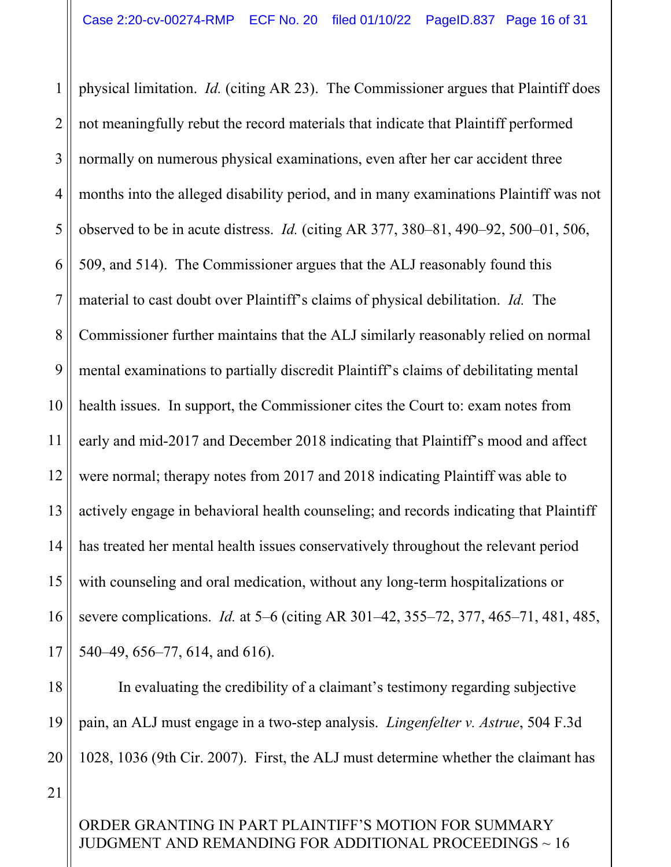1 2 3 4 5 6 7 8 9 10 11 12 13 14 15 16 17 physical limitation. *Id.* (citing AR 23). The Commissioner argues that Plaintiff does not meaningfully rebut the record materials that indicate that Plaintiff performed normally on numerous physical examinations, even after her car accident three months into the alleged disability period, and in many examinations Plaintiff was not observed to be in acute distress. *Id.* (citing AR 377, 380–81, 490–92, 500–01, 506, 509, and 514). The Commissioner argues that the ALJ reasonably found this material to cast doubt over Plaintiff's claims of physical debilitation. *Id.* The Commissioner further maintains that the ALJ similarly reasonably relied on normal mental examinations to partially discredit Plaintiff's claims of debilitating mental health issues. In support, the Commissioner cites the Court to: exam notes from early and mid-2017 and December 2018 indicating that Plaintiff's mood and affect were normal; therapy notes from 2017 and 2018 indicating Plaintiff was able to actively engage in behavioral health counseling; and records indicating that Plaintiff has treated her mental health issues conservatively throughout the relevant period with counseling and oral medication, without any long-term hospitalizations or severe complications. *Id.* at 5–6 (citing AR 301–42, 355–72, 377, 465–71, 481, 485, 540–49, 656–77, 614, and 616).

18 19 20 In evaluating the credibility of a claimant's testimony regarding subjective pain, an ALJ must engage in a two-step analysis. *Lingenfelter v. Astrue*, 504 F.3d 1028, 1036 (9th Cir. 2007). First, the ALJ must determine whether the claimant has

21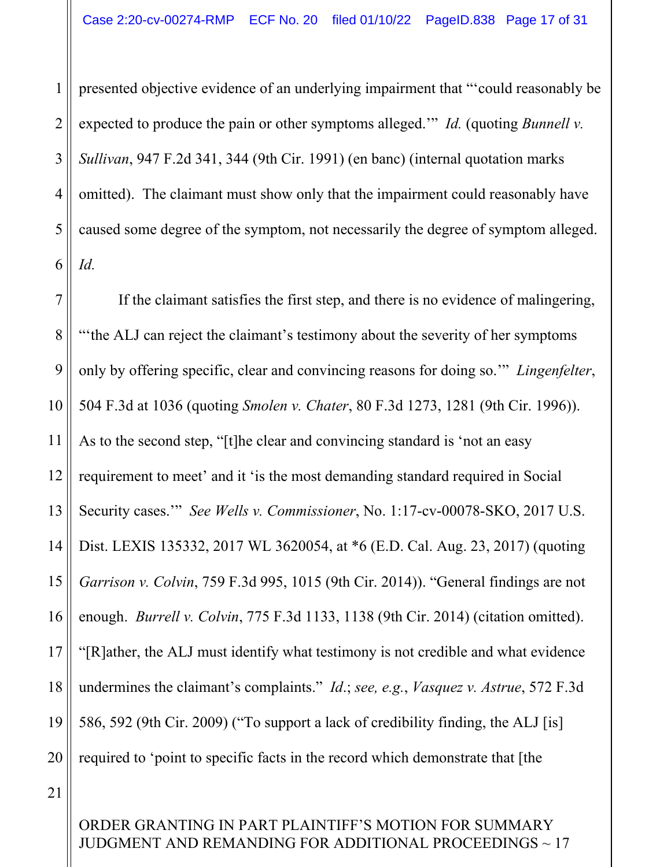1 2 3 4 5 6 presented objective evidence of an underlying impairment that "'could reasonably be expected to produce the pain or other symptoms alleged.'" *Id.* (quoting *Bunnell v. Sullivan*, 947 F.2d 341, 344 (9th Cir. 1991) (en banc) (internal quotation marks omitted). The claimant must show only that the impairment could reasonably have caused some degree of the symptom, not necessarily the degree of symptom alleged. *Id.*

7 8 9 10 11 12 13 14 15 16 17 18 19 20 If the claimant satisfies the first step, and there is no evidence of malingering, "'the ALJ can reject the claimant's testimony about the severity of her symptoms only by offering specific, clear and convincing reasons for doing so.'" *Lingenfelter*, 504 F.3d at 1036 (quoting *Smolen v. Chater*, 80 F.3d 1273, 1281 (9th Cir. 1996)). As to the second step, "[t]he clear and convincing standard is 'not an easy requirement to meet' and it 'is the most demanding standard required in Social Security cases.'" *See Wells v. Commissioner*, No. 1:17-cv-00078-SKO, 2017 U.S. Dist. LEXIS 135332, 2017 WL 3620054, at \*6 (E.D. Cal. Aug. 23, 2017) (quoting *Garrison v. Colvin*, 759 F.3d 995, 1015 (9th Cir. 2014)). "General findings are not enough. *Burrell v. Colvin*, 775 F.3d 1133, 1138 (9th Cir. 2014) (citation omitted). "[R]ather, the ALJ must identify what testimony is not credible and what evidence undermines the claimant's complaints." *Id*.; *see, e.g.*, *Vasquez v. Astrue*, 572 F.3d 586, 592 (9th Cir. 2009) ("To support a lack of credibility finding, the ALJ [is] required to 'point to specific facts in the record which demonstrate that [the

21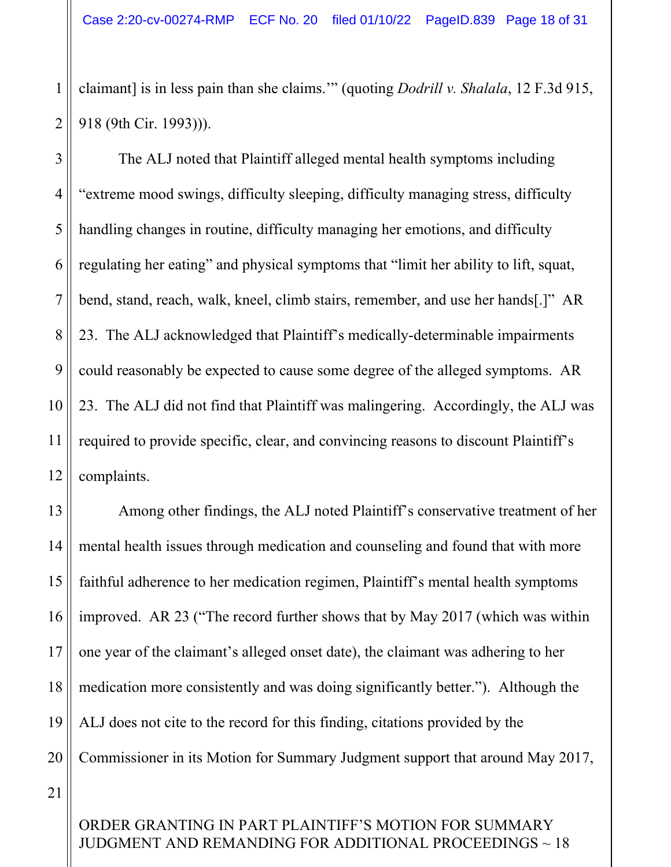claimant] is in less pain than she claims.'" (quoting *Dodrill v. Shalala*, 12 F.3d 915, 918 (9th Cir. 1993))).

3 4 5 6 7 8 9 10 11 12 The ALJ noted that Plaintiff alleged mental health symptoms including "extreme mood swings, difficulty sleeping, difficulty managing stress, difficulty handling changes in routine, difficulty managing her emotions, and difficulty regulating her eating" and physical symptoms that "limit her ability to lift, squat, bend, stand, reach, walk, kneel, climb stairs, remember, and use her hands[.]" AR 23. The ALJ acknowledged that Plaintiff's medically-determinable impairments could reasonably be expected to cause some degree of the alleged symptoms. AR 23. The ALJ did not find that Plaintiff was malingering. Accordingly, the ALJ was required to provide specific, clear, and convincing reasons to discount Plaintiff's complaints.

13 14 15 16 17 18 19 20 Among other findings, the ALJ noted Plaintiff's conservative treatment of her mental health issues through medication and counseling and found that with more faithful adherence to her medication regimen, Plaintiff's mental health symptoms improved. AR 23 ("The record further shows that by May 2017 (which was within one year of the claimant's alleged onset date), the claimant was adhering to her medication more consistently and was doing significantly better."). Although the ALJ does not cite to the record for this finding, citations provided by the Commissioner in its Motion for Summary Judgment support that around May 2017,

21

1

2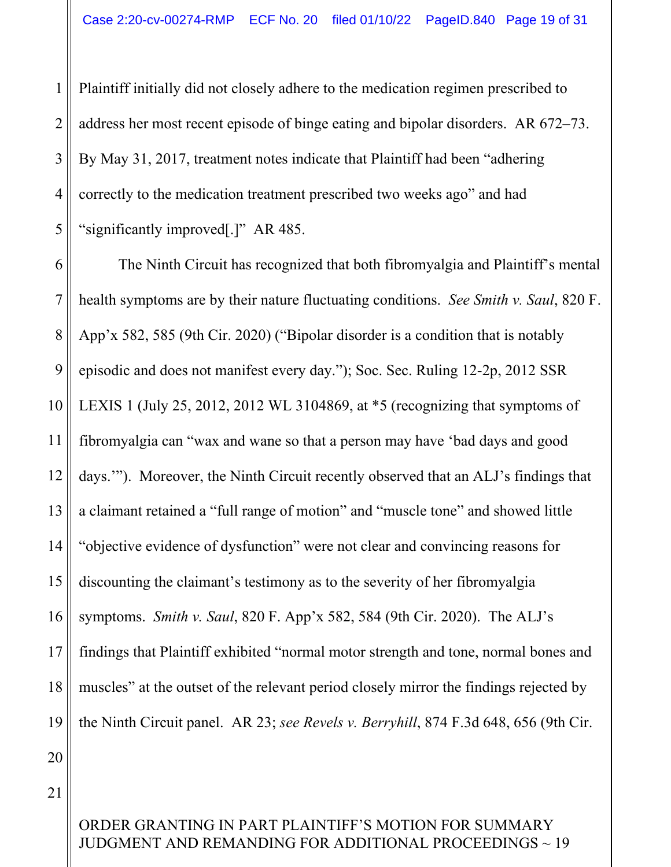1 2 3 4 5 Plaintiff initially did not closely adhere to the medication regimen prescribed to address her most recent episode of binge eating and bipolar disorders. AR 672–73. By May 31, 2017, treatment notes indicate that Plaintiff had been "adhering correctly to the medication treatment prescribed two weeks ago" and had "significantly improved[.]" AR 485.

6 7 8 9 10 11 12 13 14 15 16 17 18 19 The Ninth Circuit has recognized that both fibromyalgia and Plaintiff's mental health symptoms are by their nature fluctuating conditions. *See Smith v. Saul*, 820 F. App'x 582, 585 (9th Cir. 2020) ("Bipolar disorder is a condition that is notably episodic and does not manifest every day."); Soc. Sec. Ruling 12-2p, 2012 SSR LEXIS 1 (July 25, 2012, 2012 WL 3104869, at \*5 (recognizing that symptoms of fibromyalgia can "wax and wane so that a person may have 'bad days and good days.'"). Moreover, the Ninth Circuit recently observed that an ALJ's findings that a claimant retained a "full range of motion" and "muscle tone" and showed little "objective evidence of dysfunction" were not clear and convincing reasons for discounting the claimant's testimony as to the severity of her fibromyalgia symptoms. *Smith v. Saul*, 820 F. App'x 582, 584 (9th Cir. 2020). The ALJ's findings that Plaintiff exhibited "normal motor strength and tone, normal bones and muscles" at the outset of the relevant period closely mirror the findings rejected by the Ninth Circuit panel. AR 23; *see Revels v. Berryhill*, 874 F.3d 648, 656 (9th Cir.

21

20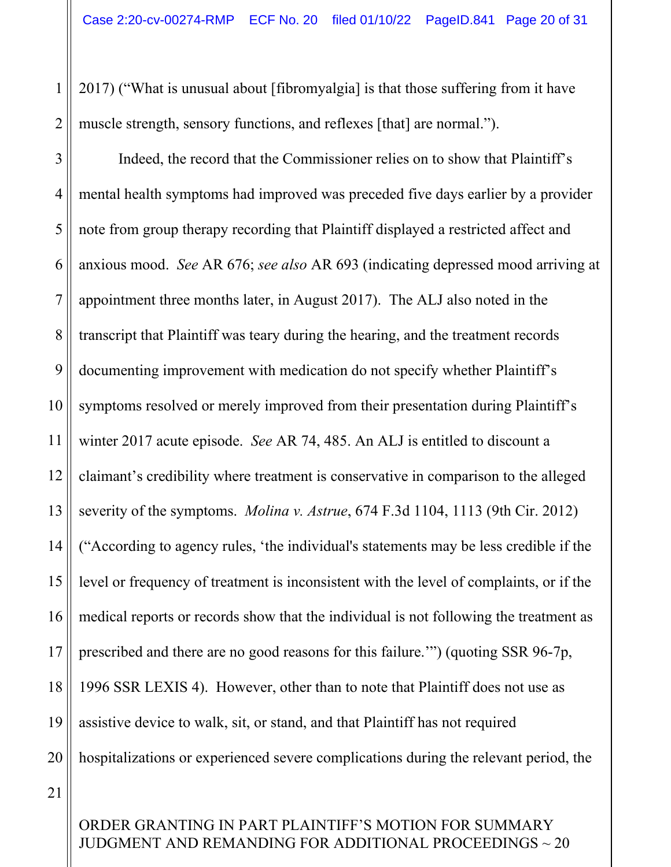2 2017) ("What is unusual about [fibromyalgia] is that those suffering from it have muscle strength, sensory functions, and reflexes [that] are normal.").

3 4 5 6 7 8 9 10 11 12 13 14 15 16 17 18 19 20 Indeed, the record that the Commissioner relies on to show that Plaintiff's mental health symptoms had improved was preceded five days earlier by a provider note from group therapy recording that Plaintiff displayed a restricted affect and anxious mood. *See* AR 676; *see also* AR 693 (indicating depressed mood arriving at appointment three months later, in August 2017). The ALJ also noted in the transcript that Plaintiff was teary during the hearing, and the treatment records documenting improvement with medication do not specify whether Plaintiff's symptoms resolved or merely improved from their presentation during Plaintiff's winter 2017 acute episode. *See* AR 74, 485. An ALJ is entitled to discount a claimant's credibility where treatment is conservative in comparison to the alleged severity of the symptoms. *Molina v. Astrue*, 674 F.3d 1104, 1113 (9th Cir. 2012) ("According to agency rules, 'the individual's statements may be less credible if the level or frequency of treatment is inconsistent with the level of complaints, or if the medical reports or records show that the individual is not following the treatment as prescribed and there are no good reasons for this failure.'") (quoting SSR 96-7p, 1996 SSR LEXIS 4). However, other than to note that Plaintiff does not use as assistive device to walk, sit, or stand, and that Plaintiff has not required hospitalizations or experienced severe complications during the relevant period, the

21

1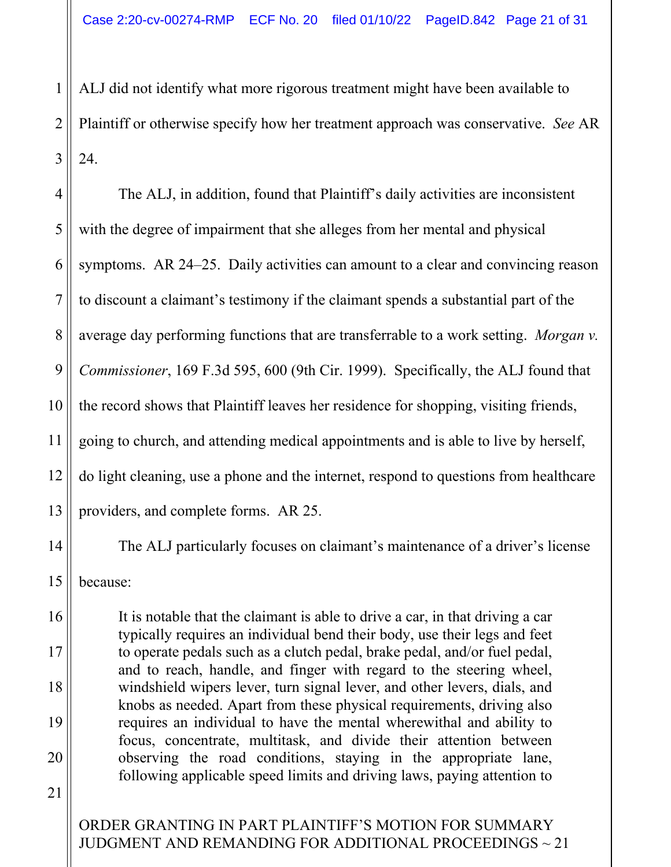1 2 3 ALJ did not identify what more rigorous treatment might have been available to Plaintiff or otherwise specify how her treatment approach was conservative. *See* AR 24.

4 5 6 7 8 9 10 11 12 13 The ALJ, in addition, found that Plaintiff's daily activities are inconsistent with the degree of impairment that she alleges from her mental and physical symptoms. AR 24–25. Daily activities can amount to a clear and convincing reason to discount a claimant's testimony if the claimant spends a substantial part of the average day performing functions that are transferrable to a work setting. *Morgan v. Commissioner*, 169 F.3d 595, 600 (9th Cir. 1999). Specifically, the ALJ found that the record shows that Plaintiff leaves her residence for shopping, visiting friends, going to church, and attending medical appointments and is able to live by herself, do light cleaning, use a phone and the internet, respond to questions from healthcare providers, and complete forms. AR 25.

The ALJ particularly focuses on claimant's maintenance of a driver's license because:

It is notable that the claimant is able to drive a car, in that driving a car typically requires an individual bend their body, use their legs and feet to operate pedals such as a clutch pedal, brake pedal, and/or fuel pedal, and to reach, handle, and finger with regard to the steering wheel, windshield wipers lever, turn signal lever, and other levers, dials, and knobs as needed. Apart from these physical requirements, driving also requires an individual to have the mental wherewithal and ability to focus, concentrate, multitask, and divide their attention between observing the road conditions, staying in the appropriate lane, following applicable speed limits and driving laws, paying attention to

21

14

15

16

17

18

19

20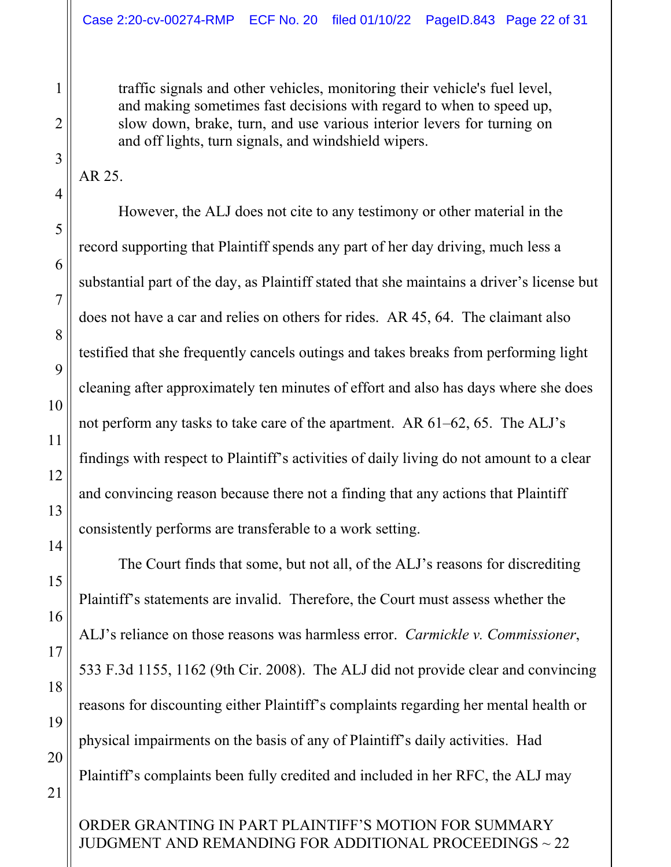traffic signals and other vehicles, monitoring their vehicle's fuel level, and making sometimes fast decisions with regard to when to speed up, slow down, brake, turn, and use various interior levers for turning on and off lights, turn signals, and windshield wipers.

AR 25.

However, the ALJ does not cite to any testimony or other material in the record supporting that Plaintiff spends any part of her day driving, much less a substantial part of the day, as Plaintiff stated that she maintains a driver's license but does not have a car and relies on others for rides. AR 45, 64. The claimant also testified that she frequently cancels outings and takes breaks from performing light cleaning after approximately ten minutes of effort and also has days where she does not perform any tasks to take care of the apartment. AR 61–62, 65. The ALJ's findings with respect to Plaintiff's activities of daily living do not amount to a clear and convincing reason because there not a finding that any actions that Plaintiff consistently performs are transferable to a work setting.

The Court finds that some, but not all, of the ALJ's reasons for discrediting Plaintiff's statements are invalid. Therefore, the Court must assess whether the ALJ's reliance on those reasons was harmless error. *Carmickle v. Commissioner*, 533 F.3d 1155, 1162 (9th Cir. 2008). The ALJ did not provide clear and convincing reasons for discounting either Plaintiff's complaints regarding her mental health or physical impairments on the basis of any of Plaintiff's daily activities. Had Plaintiff's complaints been fully credited and included in her RFC, the ALJ may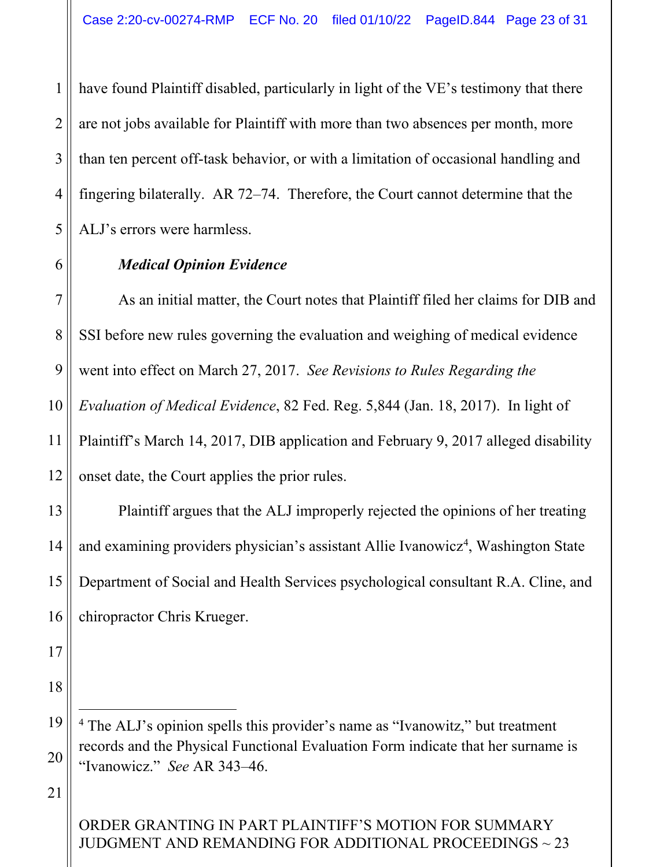1 2 3 4 5 have found Plaintiff disabled, particularly in light of the VE's testimony that there are not jobs available for Plaintiff with more than two absences per month, more than ten percent off-task behavior, or with a limitation of occasional handling and fingering bilaterally. AR 72–74. Therefore, the Court cannot determine that the ALJ's errors were harmless.

## *Medical Opinion Evidence*

7 8 9 10 11 12 As an initial matter, the Court notes that Plaintiff filed her claims for DIB and SSI before new rules governing the evaluation and weighing of medical evidence went into effect on March 27, 2017. *See Revisions to Rules Regarding the Evaluation of Medical Evidence*, 82 Fed. Reg. 5,844 (Jan. 18, 2017). In light of Plaintiff's March 14, 2017, DIB application and February 9, 2017 alleged disability onset date, the Court applies the prior rules.

Plaintiff argues that the ALJ improperly rejected the opinions of her treating and examining providers physician's assistant Allie Ivanowicz<sup>4</sup>, Washington State Department of Social and Health Services psychological consultant R.A. Cline, and chiropractor Chris Krueger.

19

20

13

14

15

16

17

6

21

<sup>18</sup>

<sup>4</sup> The ALJ's opinion spells this provider's name as "Ivanowitz," but treatment records and the Physical Functional Evaluation Form indicate that her surname is "Ivanowicz." *See* AR 343–46.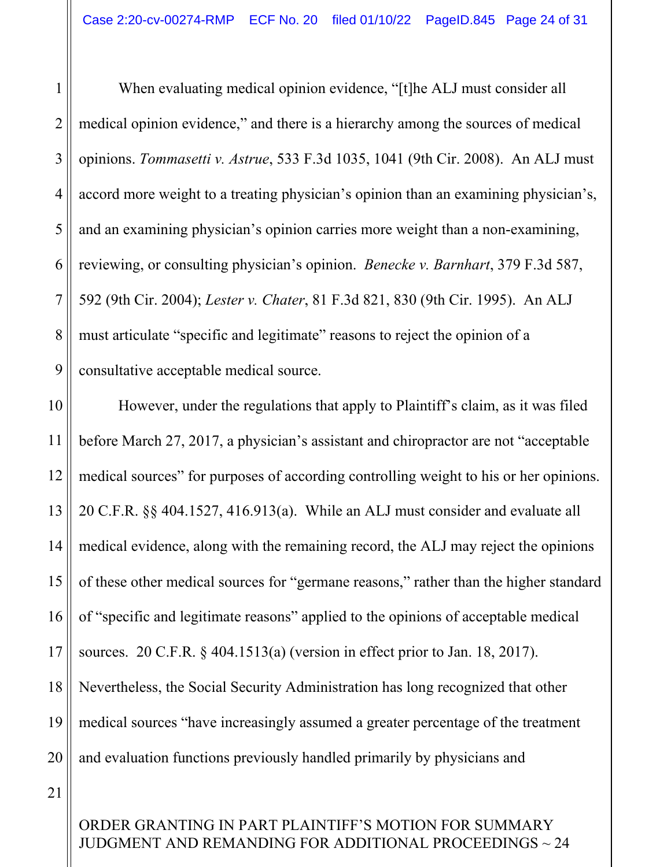1 2 3 4 5 6 7 8 9 When evaluating medical opinion evidence, "[t]he ALJ must consider all medical opinion evidence," and there is a hierarchy among the sources of medical opinions. *Tommasetti v. Astrue*, 533 F.3d 1035, 1041 (9th Cir. 2008). An ALJ must accord more weight to a treating physician's opinion than an examining physician's, and an examining physician's opinion carries more weight than a non-examining, reviewing, or consulting physician's opinion. *Benecke v. Barnhart*, 379 F.3d 587, 592 (9th Cir. 2004); *Lester v. Chater*, 81 F.3d 821, 830 (9th Cir. 1995). An ALJ must articulate "specific and legitimate" reasons to reject the opinion of a consultative acceptable medical source.

10 11 12 13 14 15 16 17 18 19 20 However, under the regulations that apply to Plaintiff's claim, as it was filed before March 27, 2017, a physician's assistant and chiropractor are not "acceptable medical sources" for purposes of according controlling weight to his or her opinions. 20 C.F.R. §§ 404.1527, 416.913(a). While an ALJ must consider and evaluate all medical evidence, along with the remaining record, the ALJ may reject the opinions of these other medical sources for "germane reasons," rather than the higher standard of "specific and legitimate reasons" applied to the opinions of acceptable medical sources. 20 C.F.R. § 404.1513(a) (version in effect prior to Jan. 18, 2017). Nevertheless, the Social Security Administration has long recognized that other medical sources "have increasingly assumed a greater percentage of the treatment and evaluation functions previously handled primarily by physicians and

21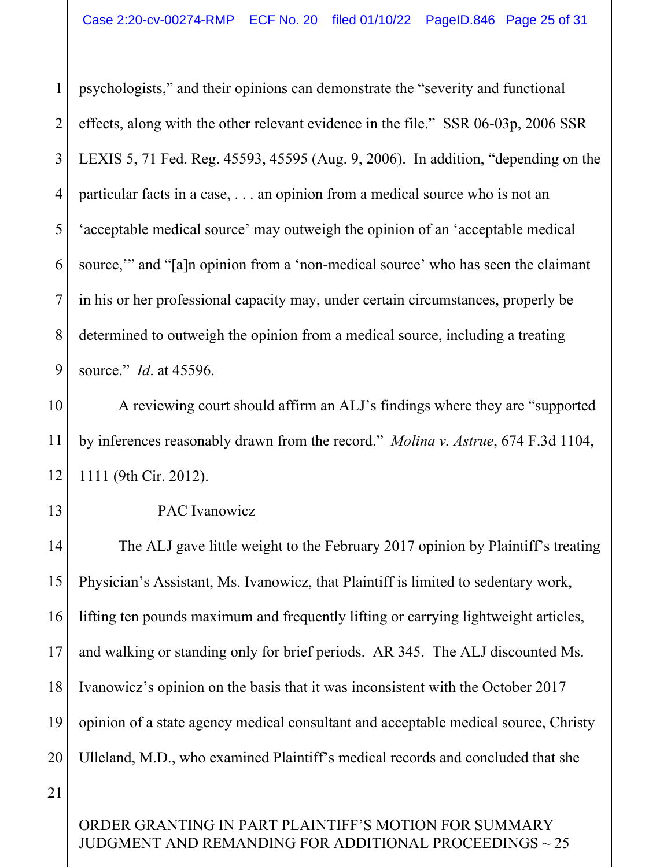1 2 3 4 5 6 7 8 9 psychologists," and their opinions can demonstrate the "severity and functional effects, along with the other relevant evidence in the file." SSR 06-03p, 2006 SSR LEXIS 5, 71 Fed. Reg. 45593, 45595 (Aug. 9, 2006). In addition, "depending on the particular facts in a case, . . . an opinion from a medical source who is not an 'acceptable medical source' may outweigh the opinion of an 'acceptable medical source," and "[a]n opinion from a 'non-medical source' who has seen the claimant in his or her professional capacity may, under certain circumstances, properly be determined to outweigh the opinion from a medical source, including a treating source." *Id*. at 45596.

A reviewing court should affirm an ALJ's findings where they are "supported by inferences reasonably drawn from the record." *Molina v. Astrue*, 674 F.3d 1104, 1111 (9th Cir. 2012).

13

12

10

11

#### PAC Ivanowicz

14 15 16 17 18 19 20 The ALJ gave little weight to the February 2017 opinion by Plaintiff's treating Physician's Assistant, Ms. Ivanowicz, that Plaintiff is limited to sedentary work, lifting ten pounds maximum and frequently lifting or carrying lightweight articles, and walking or standing only for brief periods. AR 345. The ALJ discounted Ms. Ivanowicz's opinion on the basis that it was inconsistent with the October 2017 opinion of a state agency medical consultant and acceptable medical source, Christy Ulleland, M.D., who examined Plaintiff's medical records and concluded that she

21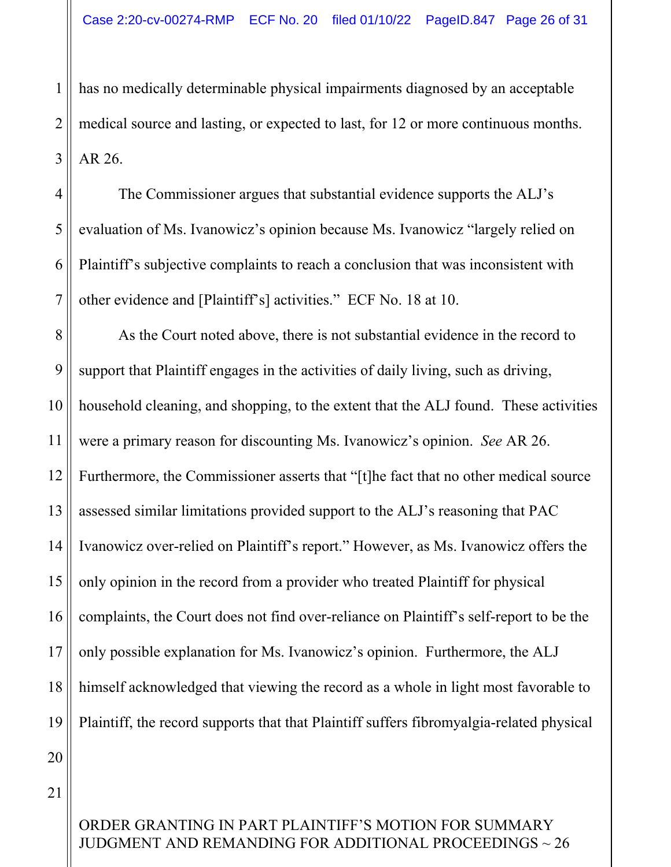2 3 has no medically determinable physical impairments diagnosed by an acceptable medical source and lasting, or expected to last, for 12 or more continuous months. AR 26.

4 6 The Commissioner argues that substantial evidence supports the ALJ's evaluation of Ms. Ivanowicz's opinion because Ms. Ivanowicz "largely relied on Plaintiff's subjective complaints to reach a conclusion that was inconsistent with other evidence and [Plaintiff's] activities." ECF No. 18 at 10.

8 9 10 11 12 13 14 15 16 17 18 19 As the Court noted above, there is not substantial evidence in the record to support that Plaintiff engages in the activities of daily living, such as driving, household cleaning, and shopping, to the extent that the ALJ found. These activities were a primary reason for discounting Ms. Ivanowicz's opinion. *See* AR 26. Furthermore, the Commissioner asserts that "[t]he fact that no other medical source assessed similar limitations provided support to the ALJ's reasoning that PAC Ivanowicz over-relied on Plaintiff's report." However, as Ms. Ivanowicz offers the only opinion in the record from a provider who treated Plaintiff for physical complaints, the Court does not find over-reliance on Plaintiff's self-report to be the only possible explanation for Ms. Ivanowicz's opinion. Furthermore, the ALJ himself acknowledged that viewing the record as a whole in light most favorable to Plaintiff, the record supports that that Plaintiff suffers fibromyalgia-related physical

21

20

1

5

7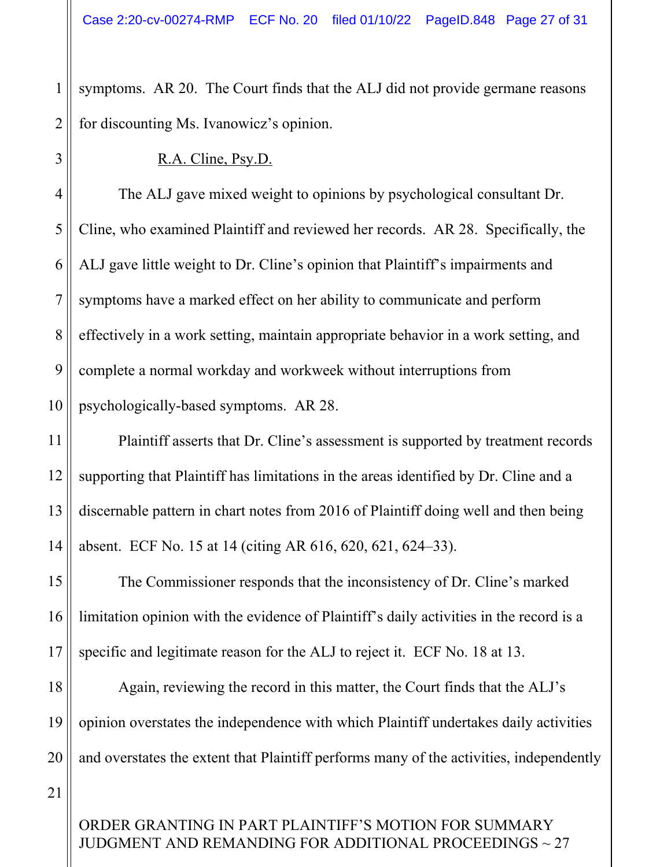1 2 symptoms. AR 20. The Court finds that the ALJ did not provide germane reasons for discounting Ms. Ivanowicz's opinion.

#### R.A. Cline, Psy.D.

The ALJ gave mixed weight to opinions by psychological consultant Dr. Cline, who examined Plaintiff and reviewed her records. AR 28. Specifically, the ALJ gave little weight to Dr. Cline's opinion that Plaintiff's impairments and symptoms have a marked effect on her ability to communicate and perform effectively in a work setting, maintain appropriate behavior in a work setting, and complete a normal workday and workweek without interruptions from psychologically-based symptoms. AR 28.

Plaintiff asserts that Dr. Cline's assessment is supported by treatment records supporting that Plaintiff has limitations in the areas identified by Dr. Cline and a discernable pattern in chart notes from 2016 of Plaintiff doing well and then being absent. ECF No. 15 at 14 (citing AR 616, 620, 621, 624–33).

The Commissioner responds that the inconsistency of Dr. Cline's marked limitation opinion with the evidence of Plaintiff's daily activities in the record is a specific and legitimate reason for the ALJ to reject it. ECF No. 18 at 13.

Again, reviewing the record in this matter, the Court finds that the ALJ's opinion overstates the independence with which Plaintiff undertakes daily activities and overstates the extent that Plaintiff performs many of the activities, independently

21

3

4

5

6

7

8

9

10

11

12

13

14

15

16

17

18

19

20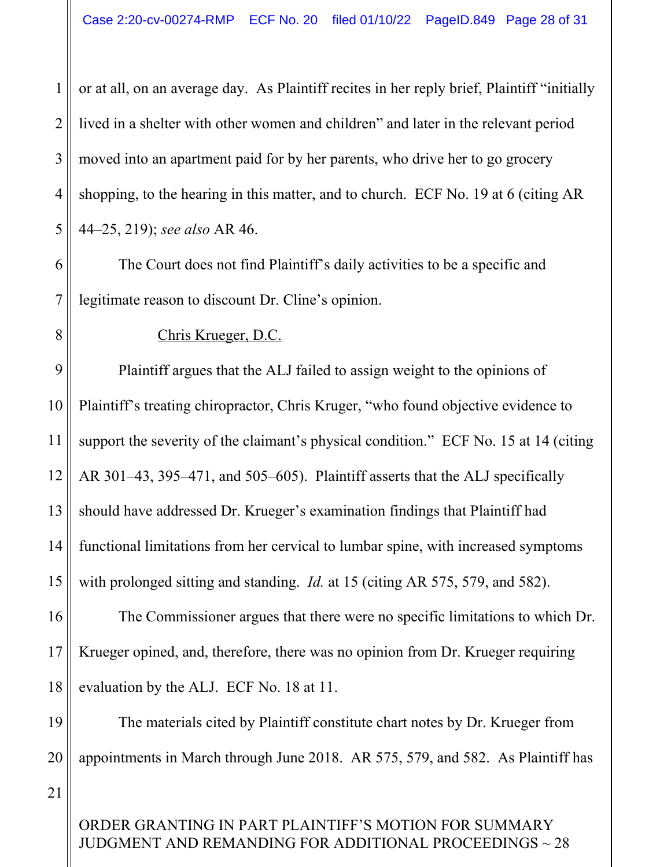1 2 3 4 5 or at all, on an average day. As Plaintiff recites in her reply brief, Plaintiff "initially lived in a shelter with other women and children" and later in the relevant period moved into an apartment paid for by her parents, who drive her to go grocery shopping, to the hearing in this matter, and to church. ECF No. 19 at 6 (citing AR 44–25, 219); *see also* AR 46.

The Court does not find Plaintiff's daily activities to be a specific and legitimate reason to discount Dr. Cline's opinion.

Chris Krueger, D.C.

9 10 11 12 13 14 15 Plaintiff argues that the ALJ failed to assign weight to the opinions of Plaintiff's treating chiropractor, Chris Kruger, "who found objective evidence to support the severity of the claimant's physical condition." ECF No. 15 at 14 (citing AR 301–43, 395–471, and 505–605). Plaintiff asserts that the ALJ specifically should have addressed Dr. Krueger's examination findings that Plaintiff had functional limitations from her cervical to lumbar spine, with increased symptoms with prolonged sitting and standing. *Id.* at 15 (citing AR 575, 579, and 582).

16 17 18 The Commissioner argues that there were no specific limitations to which Dr. Krueger opined, and, therefore, there was no opinion from Dr. Krueger requiring evaluation by the ALJ. ECF No. 18 at 11.

The materials cited by Plaintiff constitute chart notes by Dr. Krueger from appointments in March through June 2018. AR 575, 579, and 582. As Plaintiff has

21

19

20

6

7

8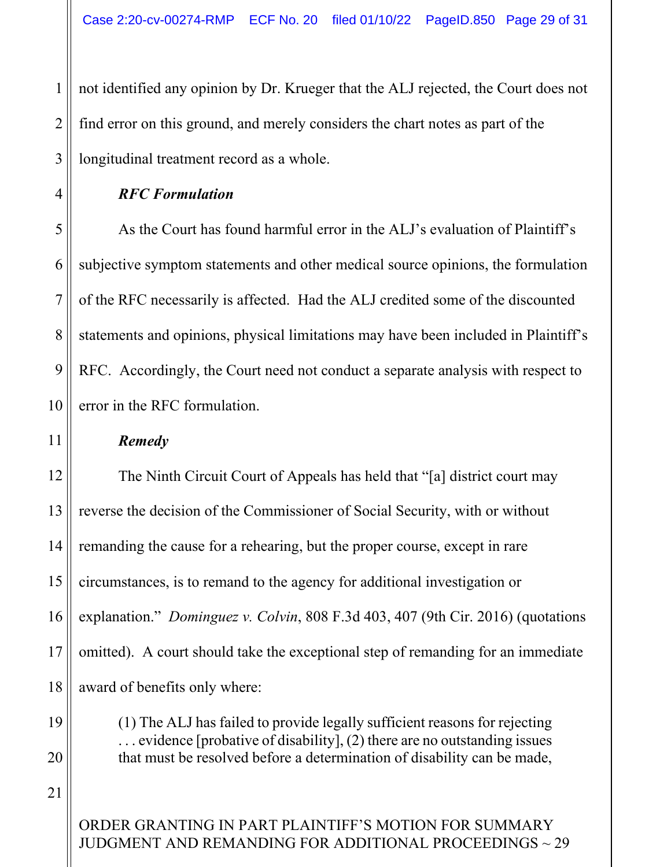1 2 3 not identified any opinion by Dr. Krueger that the ALJ rejected, the Court does not find error on this ground, and merely considers the chart notes as part of the longitudinal treatment record as a whole.

#### *RFC Formulation*

4

5

6

7

8

9

10

11

As the Court has found harmful error in the ALJ's evaluation of Plaintiff's subjective symptom statements and other medical source opinions, the formulation of the RFC necessarily is affected. Had the ALJ credited some of the discounted statements and opinions, physical limitations may have been included in Plaintiff's RFC. Accordingly, the Court need not conduct a separate analysis with respect to error in the RFC formulation.

#### *Remedy*

12 13 14 15 16 17 18 The Ninth Circuit Court of Appeals has held that "[a] district court may reverse the decision of the Commissioner of Social Security, with or without remanding the cause for a rehearing, but the proper course, except in rare circumstances, is to remand to the agency for additional investigation or explanation." *Dominguez v. Colvin*, 808 F.3d 403, 407 (9th Cir. 2016) (quotations omitted). A court should take the exceptional step of remanding for an immediate award of benefits only where:

> (1) The ALJ has failed to provide legally sufficient reasons for rejecting . . . evidence [probative of disability], (2) there are no outstanding issues that must be resolved before a determination of disability can be made,

21

19

20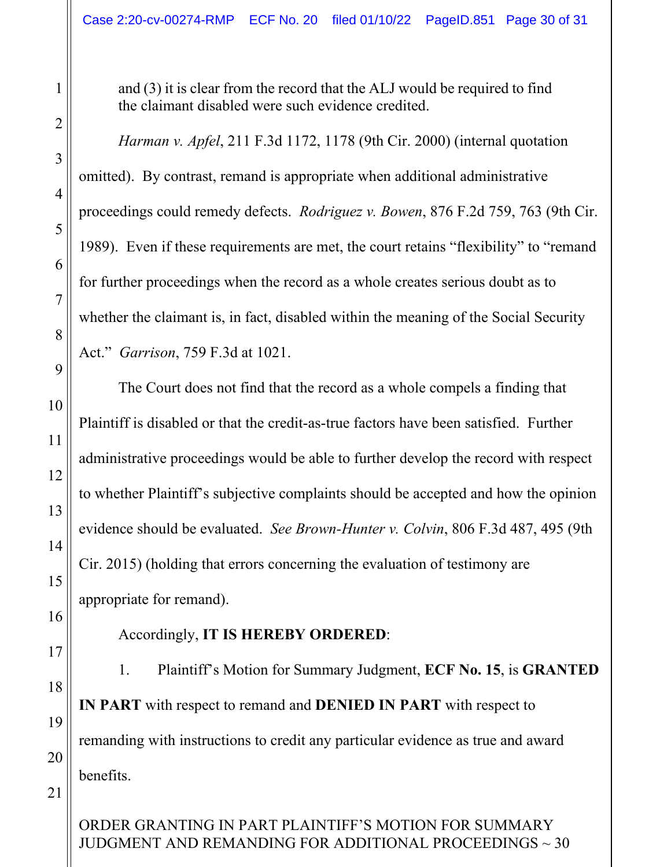and (3) it is clear from the record that the ALJ would be required to find the claimant disabled were such evidence credited.

*Harman v. Apfel*, 211 F.3d 1172, 1178 (9th Cir. 2000) (internal quotation omitted). By contrast, remand is appropriate when additional administrative proceedings could remedy defects. *Rodriguez v. Bowen*, 876 F.2d 759, 763 (9th Cir. 1989). Even if these requirements are met, the court retains "flexibility" to "remand for further proceedings when the record as a whole creates serious doubt as to whether the claimant is, in fact, disabled within the meaning of the Social Security Act." *Garrison*, 759 F.3d at 1021.

The Court does not find that the record as a whole compels a finding that Plaintiff is disabled or that the credit-as-true factors have been satisfied. Further administrative proceedings would be able to further develop the record with respect to whether Plaintiff's subjective complaints should be accepted and how the opinion evidence should be evaluated. *See Brown-Hunter v. Colvin*, 806 F.3d 487, 495 (9th Cir. 2015) (holding that errors concerning the evaluation of testimony are appropriate for remand).

# Accordingly, **IT IS HEREBY ORDERED**:

1. Plaintiff's Motion for Summary Judgment, **ECF No. 15**, is **GRANTED IN PART** with respect to remand and **DENIED IN PART** with respect to remanding with instructions to credit any particular evidence as true and award benefits.

ORDER GRANTING IN PART PLAINTIFF'S MOTION FOR SUMMARY JUDGMENT AND REMANDING FOR ADDITIONAL PROCEEDINGS ~ 30

21